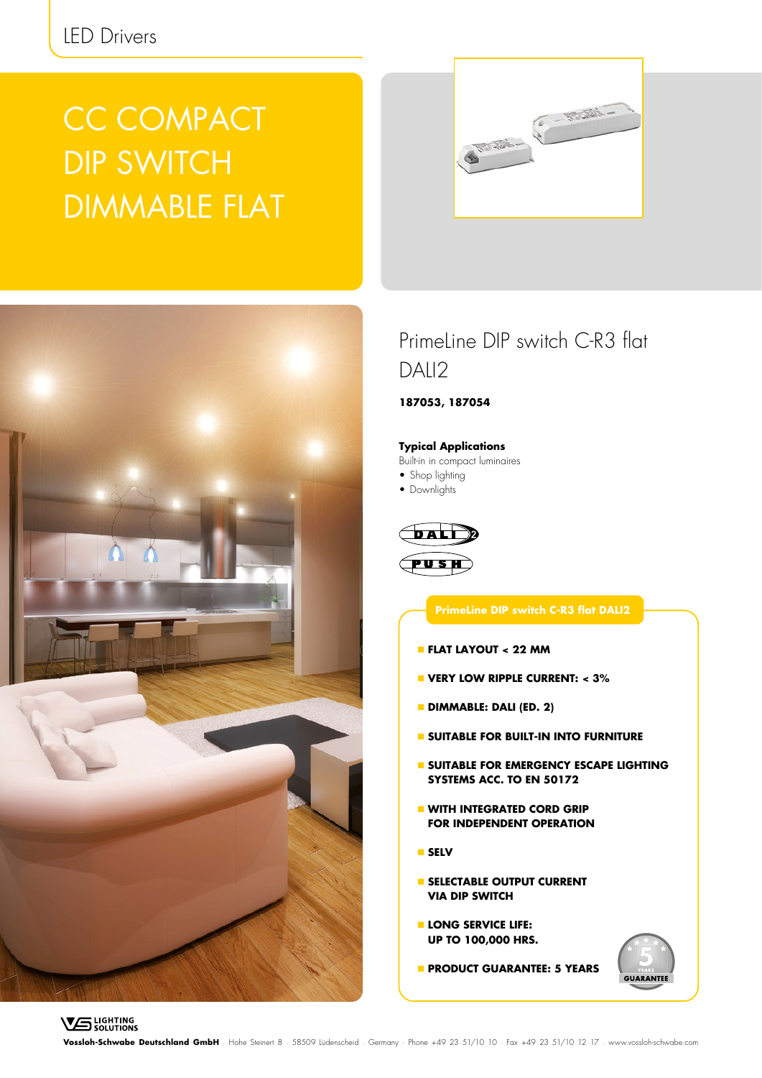# CC COMPACT DIP SWITCH DIMMABLE FLAT





### PrimeLine DIP switch C-R3 flat DAII<sub>2</sub>

**187053, 187054**

#### **Typical Applications**

Built-in in compact luminaires

- Shop lighting
- Downlights



### **PrimeLine DIP switch C-R3 flat DALI2**

- **FLAT LAYOUT < 22 MM**
- **VERY LOW RIPPLE CURRENT: < 3%**
- **DIMMABLE: DALI (ED. 2)**
- **SUITABLE FOR BUILT-IN INTO FURNITURE**
- **SUITABLE FOR EMERGENCY ESCAPE LIGHTING SYSTEMS ACC. TO EN 50172**
- **WITH INTEGRATED CORD GRIP FOR INDEPENDENT OPERATION**
- **SELV**
- **SELECTABLE OUTPUT CURRENT VIA DIP SWITCH**
- **LONG SERVICE LIFE: UP TO 100,000 HRS.**
- **PRODUCT GUARANTEE: 5 YEARS**



**Vossloh-Schwabe Deutschland GmbH** · Hohe Steinert 8 · 58509 Lüdenscheid · Germany · Phone +49 23 51/10 10 · Fax +49 23 51/10 12 17 · www.vossloh-schwabe.com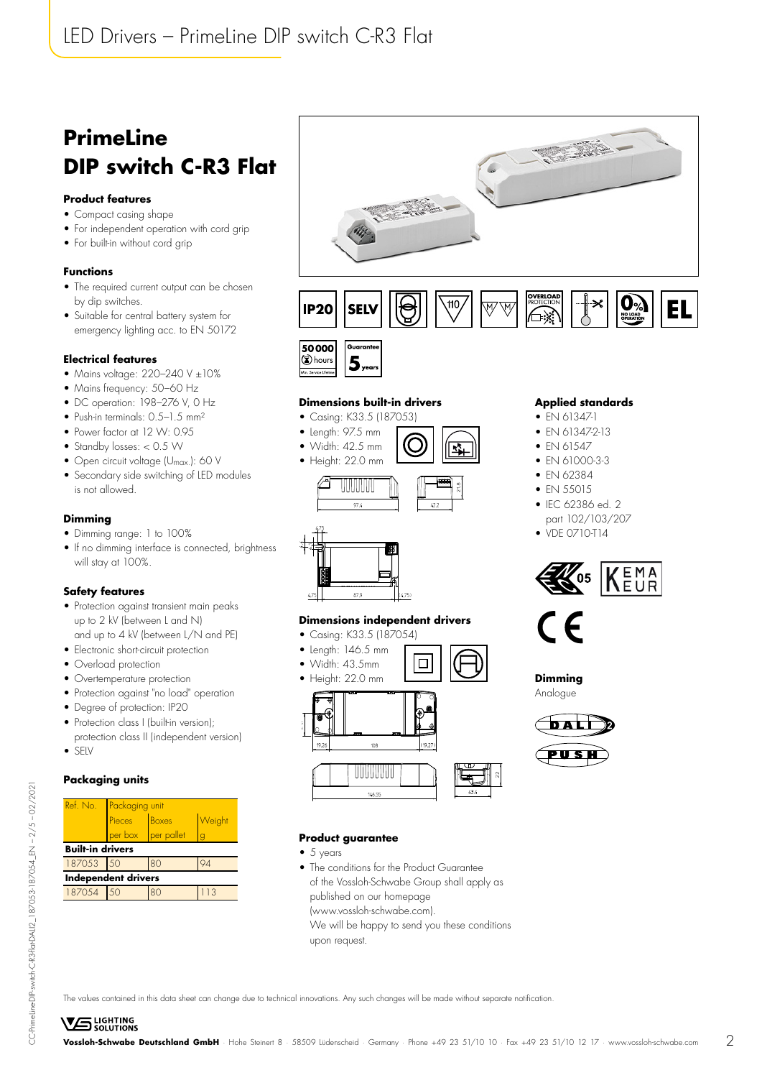## **PrimeLine DIP switch C-R3 Flat**

#### **Product features**

- Compact casing shape
- For independent operation with cord grip
- For built-in without cord grip

#### **Functions**

- The required current output can be chosen by dip switches.
- Suitable for central battery system for emergency lighting acc. to EN 50172

#### **Electrical features**

- Mains voltage:  $220-240$  V  $\pm 10\%$
- Mains frequency: 50-60 Hz
- DC operation: 198-276 V, 0 Hz
- Push-in terminals: 0.5-1.5 mm<sup>2</sup>
- Power factor at 12 W: 0.95
- Standby losses: < 0.5 W
- Open circuit voltage (Umax.): 60 V
- Secondary side switching of LED modules is not allowed.

#### **Dimming**

- Dimming range: 1 to 100%
- If no dimming interface is connected, brightness will stay at 100%.

#### **Safety features**

- Protection against transient main peaks up to 2 kV (between L and N) and up to 4 kV (between L/N and PE)
- Electronic short-circuit protection
- Overload protection
- Overtemperature protection
- Protection against "no load" operation
- Degree of protection: IP20
- Protection class I (built-in version); protection class II (independent version)
- SELV

#### **Packaging units**

| Ref. No.                   | Packaging unit  |            |     |  |  |  |  |
|----------------------------|-----------------|------------|-----|--|--|--|--|
|                            | Pieces<br>Boxes | Weight     |     |  |  |  |  |
|                            | per box         | per pallet |     |  |  |  |  |
| <b>Built-in drivers</b>    |                 |            |     |  |  |  |  |
| 187053 50<br>80            |                 |            |     |  |  |  |  |
| <b>Independent drivers</b> |                 |            |     |  |  |  |  |
| 187054                     | 50              | 80         | 113 |  |  |  |  |





#### **Dimensions built-in drivers**

- Casing: K33.5 (187053)
- Length: 97.5 mm
- Width: 42.5 mm
- Height: 22.0 mm





#### **Dimensions independent drivers**

- Casing: K33.5 (187054)
- Length: 146.5 mm
- Width: 43.5mm





 $\Box$ 

#### **Product guarantee**

- $5$  years
- The conditions for the Product Guarantee of the Vossloh-Schwabe Group shall apply as published on our homepage (www.vossloh-schwabe.com). We will be happy to send you these conditions upon request.

#### **Applied standards**

- EN 61347-1
- EN 61347-2-13
- $\bullet$  FN 61547
- EN 61000-3-3
- FN 62384
- FN 55015
- IFC 62386 ed. 2 part 102/103/207
- VDE 0710-T14





**Dimming** Analogue



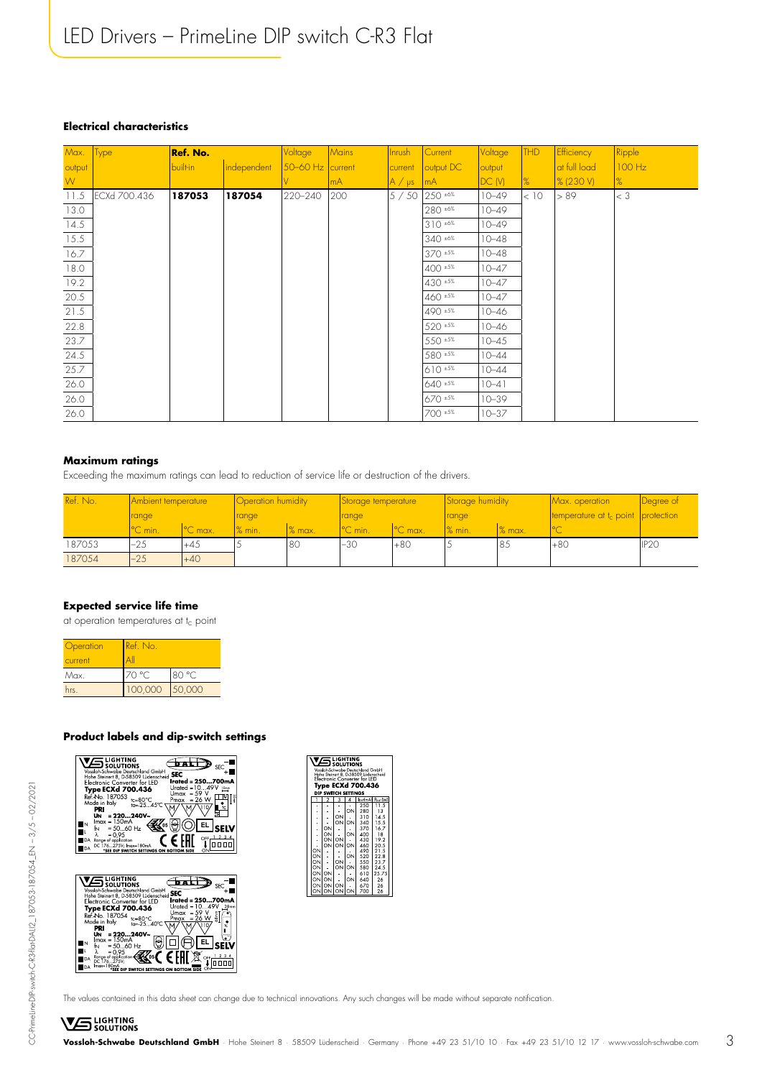#### **Electrical characteristics**

| Max.   | Type         | Ref. No. |             | <b>Voltage</b>       | <b>Mains</b> | <b>Inrush</b> | Current       | Voltage   | THD           | <b>Efficiency</b> | Ripple        |
|--------|--------------|----------|-------------|----------------------|--------------|---------------|---------------|-----------|---------------|-------------------|---------------|
| output |              | built-in | independent | $50 - 60$ Hz current |              | current       | output DC     | output    |               | at full load      | 100 Hz        |
| W.     |              |          |             |                      | mA           | $A / \mu s$   | mA            | DC(N)     | $\frac{9}{6}$ | <b>% (230 V)</b>  | $\frac{9}{6}$ |
| 11.5   | ECXd 700.436 | 187053   | 187054      | 220-240              | 200          | 5/50          | 250 ±6%       | $10 - 49$ | < 10          | > 89              | $ <$ 3        |
| 13.0   |              |          |             |                      |              |               | 280 ±6%       | $10 - 49$ |               |                   |               |
| 14.5   |              |          |             |                      |              |               | $310 * 6%$    | $10 - 49$ |               |                   |               |
| 15.5   |              |          |             |                      |              |               | 340 ±6%       | $10 - 48$ |               |                   |               |
| 16.7   |              |          |             |                      |              |               | 370 +5%       | $10 - 48$ |               |                   |               |
| 18.0   |              |          |             |                      |              |               | $400 *5%$     | $10 - 47$ |               |                   |               |
| 19.2   |              |          |             |                      |              |               | 430 +5%       | $10 - 47$ |               |                   |               |
| 20.5   |              |          |             |                      |              |               | 460 ±5%       | $10 - 47$ |               |                   |               |
| 21.5   |              |          |             |                      |              |               | 490 ±5%       | $10 - 46$ |               |                   |               |
| 22.8   |              |          |             |                      |              |               | 520 ±5%       | $10 - 46$ |               |                   |               |
| 23.7   |              |          |             |                      |              |               | 550 ±5%       | $10 - 45$ |               |                   |               |
| 24.5   |              |          |             |                      |              |               | 580 ±5%       | $10 - 44$ |               |                   |               |
| 25.7   |              |          |             |                      |              |               | $610 * 5%$    | $10 - 44$ |               |                   |               |
| 26.0   |              |          |             |                      |              |               | 640 ±5%       | $10 - 41$ |               |                   |               |
| 26.0   |              |          |             |                      |              |               | $670 \pm 5\%$ | $10 - 39$ |               |                   |               |
| 26.0   |              |          |             |                      |              |               | 700 ±5%       | $10 - 37$ |               |                   |               |

#### **Maximum ratings**

Exceeding the maximum ratings can lead to reduction of service life or destruction of the drivers.

| Ref. No. | <b>Ambient temperature</b> |                   | Operation humidity |        | Storage temperature |                     | Storage humidity |        | Max. operation                        | Degree of        |
|----------|----------------------------|-------------------|--------------------|--------|---------------------|---------------------|------------------|--------|---------------------------------------|------------------|
|          | range                      |                   | range              |        | range               |                     | range            |        | temperature at $t_c$ point protection |                  |
|          | <sup>o</sup> C min.        | $\sim$<br>'C max. | % min.             | % max. | <sup>°</sup> C min. | <sup>o</sup> C max. | $\%$ min.        | % max. | $\sim$<br>◡                           |                  |
| 187053   | $-25$                      | $+45$             |                    | 80     | $-30$               | $+80$               |                  | 85     | $+80$                                 | IP <sub>20</sub> |
| 187054   | $-25$                      | $+40$             |                    |        |                     |                     |                  |        |                                       |                  |

#### **Expected service life time**

at operation temperatures at t<sub>c</sub> point

| Operation<br>current | Ref. No. |        |  |  |
|----------------------|----------|--------|--|--|
| Max.                 | 70 °C    | 80 °C  |  |  |
| hrs.                 | 100,000  | 50,000 |  |  |

#### **Product labels and dip-switch settings**

| LIGHTING<br><b>SOLUTIONS</b><br><b>SEC</b><br>Vossloh-Schwabe Deutschland GmbH<br><b>SEC</b>    |
|-------------------------------------------------------------------------------------------------|
| Hohe Steinert 8, D-58509 Lüdenscheid<br>rated = 250700mA<br><b>Flectronic Converter for IFD</b> |
| Urated = $1049V$<br>10mm<br><b>Type ECXd 700.436</b><br>$= 59$<br>Umax                          |
| Ref. No. 187053<br>tc=80°C<br>ta=-2545°C<br>Pmax<br>$= 26 W$<br>Made in Italy                   |
| PRI                                                                                             |
| $= 220240V -$<br>UN.<br>$lmax = 150mA$                                                          |
| 05<br>$= 5060$ Hz<br>ŀ۷                                                                         |
| $= 0.95$<br>OFF.<br>Range of application                                                        |
| DC 176275V; Imax=180mA<br>"SEE DIP SWITCH SETTINGS ON BOTTOM SIDE                               |
|                                                                                                 |
|                                                                                                 |



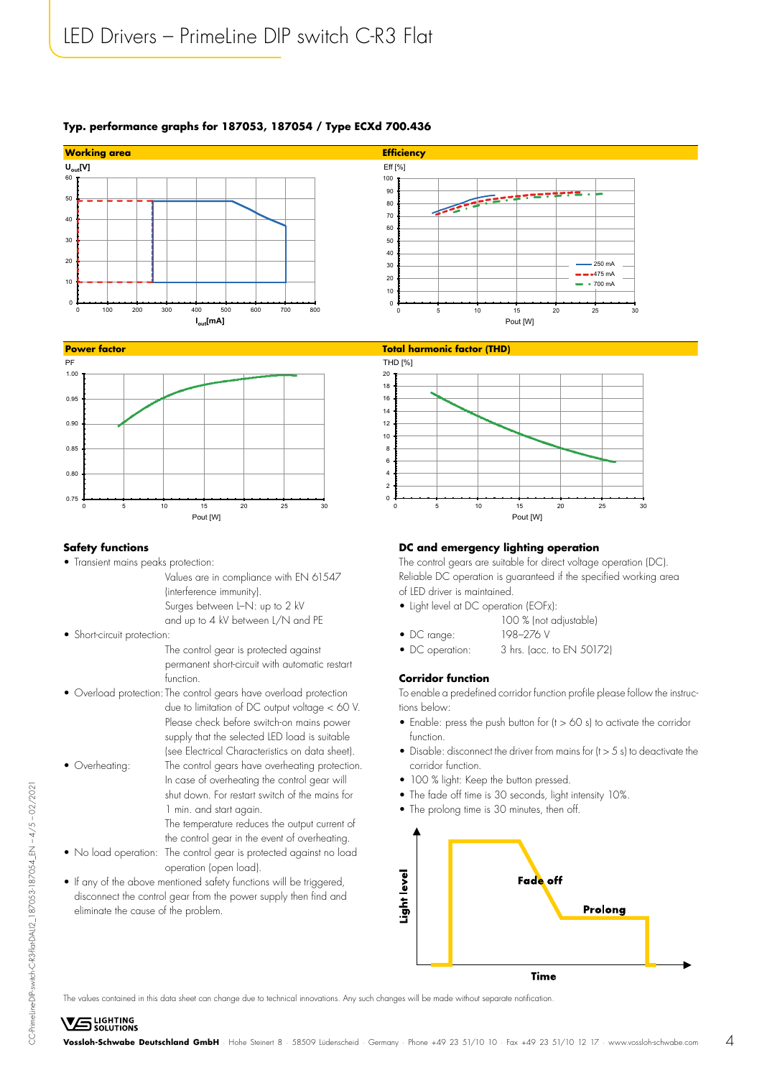### **Typ. performance graphs for 187053, 187054 / Type ECXd 700.436**





#### **Safety functions**

• Transient mains peaks protection:

 Values are in compliance with EN 61547 (interference immunity). Surges between L–N: up to 2 kV and up to 4 kV between L/N and PE

• Short-circuit protection:

 The control gear is protected against permanent short-circuit with automatic restart function.

- Overload protection: The control gears have overload protection due to limitation of DC output voltage < 60 V. Please check before switch-on mains power supply that the selected LED load is suitable (see Electrical Characteristics on data sheet).
- Overheating: The control gears have overheating protection.

**VS** LIGHTING

- In case of overheating the control gear will shut down. For restart switch of the mains for 1 min. and start again.
	- The temperature reduces the output current of the control gear in the event of overheating.
- No load operation: The control gear is protected against no load operation (open load).
- If any of the above mentioned safety functions will be triggered, disconnect the control gear from the power supply then find and eliminate the cause of the problem.



#### **DC and emergency lighting operation**

The control gears are suitable for direct voltage operation (DC). Reliable DC operation is guaranteed if the specified working area of LED driver is maintained.

- Light level at DC operation (EOF<sub>X</sub>):
	- 100 % (not adjustable)
- DC range: 198–276 V
- DC operation: 3 hrs. (acc. to EN 50172)

#### **Corridor function**

To enable a predefined corridor function profile please follow the instructions below:

- Enable: press the push button for (t > 60 s) to activate the corridor function.
- Disable: disconnect the driver from mains for (t > 5 s) to deactivate the corridor function.
- 100 % light: Keep the button pressed.
- The fade off time is 30 seconds, light intensity 10%.
- The prolong time is 30 minutes, then off.